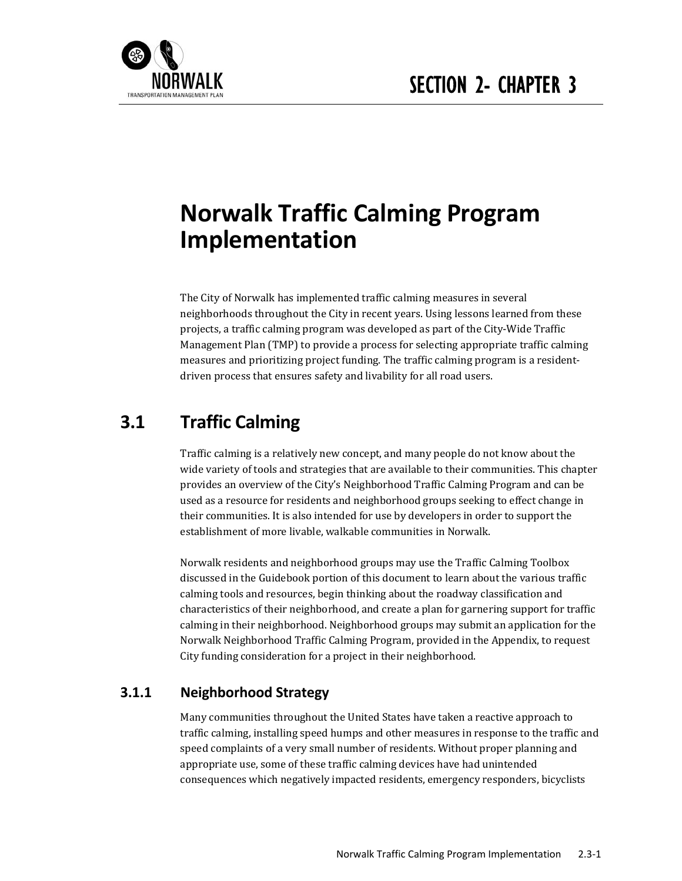

# **Norwalk Traffic Calming Program Implementation**

The City of Norwalk has implemented traffic calming measures in several neighborhoods throughout the City in recent years. Using lessons learned from these projects, a traffic calming program was developed as part of the City-Wide Traffic Management Plan (TMP) to provide a process for selecting appropriate traffic calming measures and prioritizing project funding. The traffic calming program is a residentdriven process that ensures safety and livability for all road users.

# **3.1 Traffic Calming**

Traffic calming is a relatively new concept, and many people do not know about the wide variety of tools and strategies that are available to their communities. This chapter provides an overview of the City's Neighborhood Traffic Calming Program and can be used as a resource for residents and neighborhood groups seeking to effect change in their communities. It is also intended for use by developers in order to support the establishment of more livable, walkable communities in Norwalk.

Norwalk residents and neighborhood groups may use the Traffic Calming Toolbox discussed in the Guidebook portion of this document to learn about the various traffic calming tools and resources, begin thinking about the roadway classification and characteristics of their neighborhood, and create a plan for garnering support for traffic calming in their neighborhood. Neighborhood groups may submit an application for the Norwalk Neighborhood Traffic Calming Program, provided in the Appendix, to request City funding consideration for a project in their neighborhood.

### **3.1.1 Neighborhood Strategy**

Many communities throughout the United States have taken a reactive approach to traffic calming, installing speed humps and other measures in response to the traffic and speed complaints of a very small number of residents. Without proper planning and appropriate use, some of these traffic calming devices have had unintended consequences which negatively impacted residents, emergency responders, bicyclists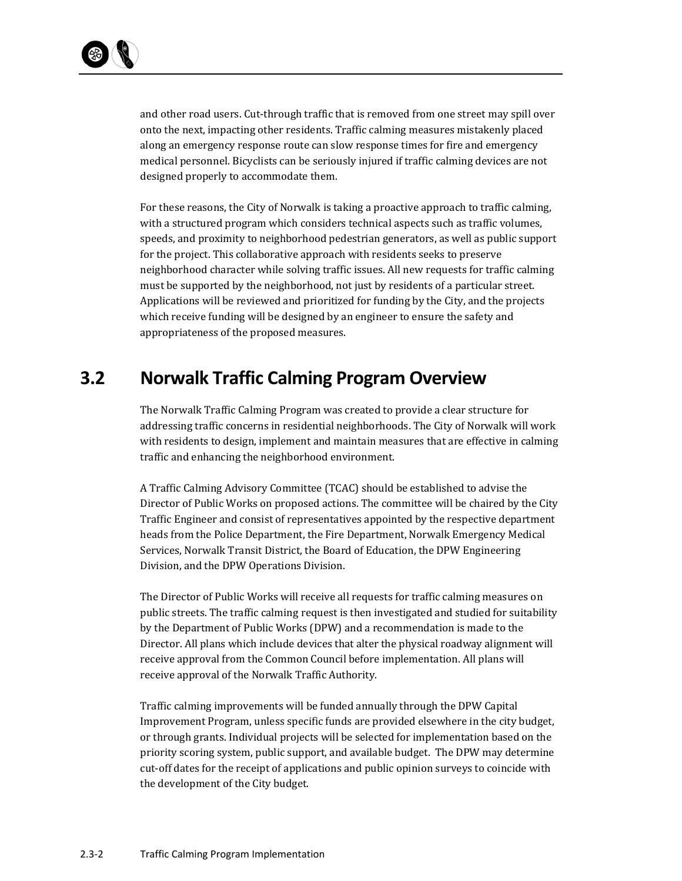

and other road users. Cut-through traffic that is removed from one street may spill over onto the next, impacting other residents. Traffic calming measures mistakenly placed along an emergency response route can slow response times for fire and emergency medical personnel. Bicyclists can be seriously injured if traffic calming devices are not designed properly to accommodate them.

For these reasons, the City of Norwalk is taking a proactive approach to traffic calming, with a structured program which considers technical aspects such as traffic volumes, speeds, and proximity to neighborhood pedestrian generators, as well as public support for the project. This collaborative approach with residents seeks to preserve neighborhood character while solving traffic issues. All new requests for traffic calming must be supported by the neighborhood, not just by residents of a particular street. Applications will be reviewed and prioritized for funding by the City, and the projects which receive funding will be designed by an engineer to ensure the safety and appropriateness of the proposed measures.

# **3.2 Norwalk Traffic Calming Program Overview**

The Norwalk Traffic Calming Program was created to provide a clear structure for addressing traffic concerns in residential neighborhoods. The City of Norwalk will work with residents to design, implement and maintain measures that are effective in calming traffic and enhancing the neighborhood environment.

A Traffic Calming Advisory Committee (TCAC) should be established to advise the Director of Public Works on proposed actions. The committee will be chaired by the City Traffic Engineer and consist of representatives appointed by the respective department heads from the Police Department, the Fire Department, Norwalk Emergency Medical Services, Norwalk Transit District, the Board of Education, the DPW Engineering Division, and the DPW Operations Division.

The Director of Public Works will receive all requests for traffic calming measures on public streets. The traffic calming request is then investigated and studied for suitability by the Department of Public Works (DPW) and a recommendation is made to the Director. All plans which include devices that alter the physical roadway alignment will receive approval from the Common Council before implementation. All plans will receive approval of the Norwalk Traffic Authority.

Traffic calming improvements will be funded annually through the DPW Capital Improvement Program, unless specific funds are provided elsewhere in the city budget, or through grants. Individual projects will be selected for implementation based on the priority scoring system, public support, and available budget. The DPW may determine cut-off dates for the receipt of applications and public opinion surveys to coincide with the development of the City budget.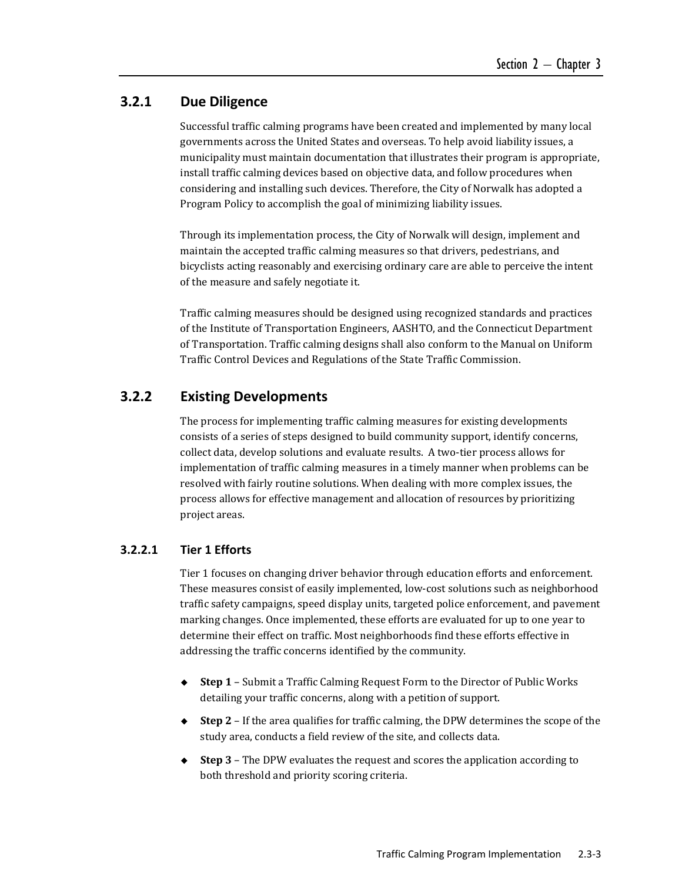#### **3.2.1 Due Diligence**

Successful traffic calming programs have been created and implemented by many local governments across the United States and overseas. To help avoid liability issues, a municipality must maintain documentation that illustrates their program is appropriate, install traffic calming devices based on objective data, and follow procedures when considering and installing such devices. Therefore, the City of Norwalk has adopted a Program Policy to accomplish the goal of minimizing liability issues.

Through its implementation process, the City of Norwalk will design, implement and maintain the accepted traffic calming measures so that drivers, pedestrians, and bicyclists acting reasonably and exercising ordinary care are able to perceive the intent of the measure and safely negotiate it.

Traffic calming measures should be designed using recognized standards and practices of the Institute of Transportation Engineers, AASHTO, and the Connecticut Department of Transportation. Traffic calming designs shall also conform to the Manual on Uniform Traffic Control Devices and Regulations of the State Traffic Commission.

#### **3.2.2 Existing Developments**

The process for implementing traffic calming measures for existing developments consists of a series of steps designed to build community support, identify concerns, collect data, develop solutions and evaluate results. A two-tier process allows for implementation of traffic calming measures in a timely manner when problems can be resolved with fairly routine solutions. When dealing with more complex issues, the process allows for effective management and allocation of resources by prioritizing project areas.

#### **3.2.2.1 Tier 1 Efforts**

Tier 1 focuses on changing driver behavior through education efforts and enforcement. These measures consist of easily implemented, low-cost solutions such as neighborhood traffic safety campaigns, speed display units, targeted police enforcement, and pavement marking changes. Once implemented, these efforts are evaluated for up to one year to determine their effect on traffic. Most neighborhoods find these efforts effective in addressing the traffic concerns identified by the community.

- ◆ Step 1 Submit a Traffic Calming Request Form to the Director of Public Works detailing your traffic concerns, along with a petition of support.
- ◆ **Step 2** If the area qualifies for traffic calming, the DPW determines the scope of the study area, conducts a field review of the site, and collects data.
- ◆ Step 3 The DPW evaluates the request and scores the application according to both threshold and priority scoring criteria.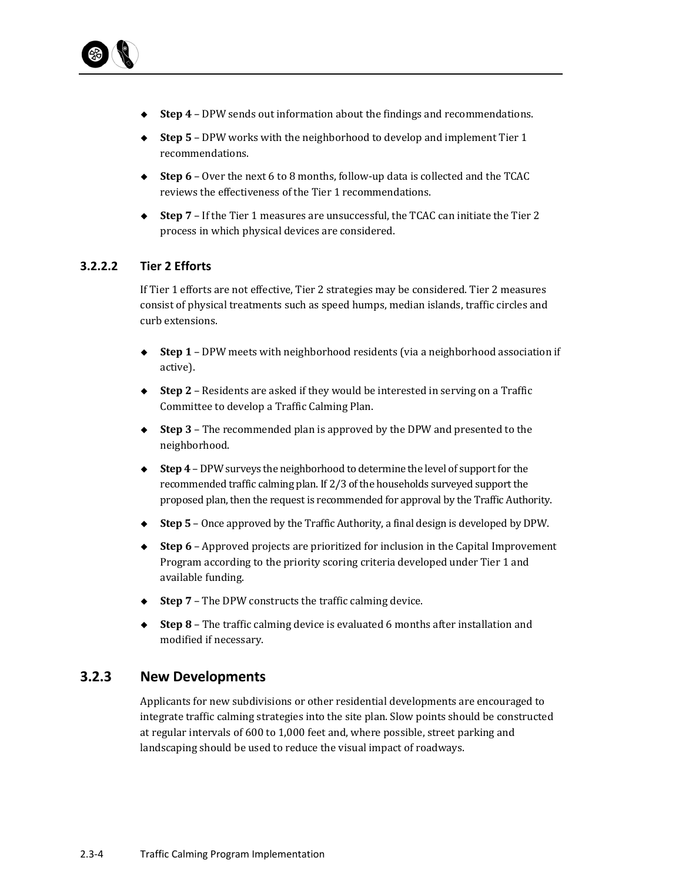

- ◆ **Step 4** DPW sends out information about the findings and recommendations.
- ◆ **Step 5** DPW works with the neighborhood to develop and implement Tier 1 recommendations.
- ◆ Step 6 Over the next 6 to 8 months, follow-up data is collected and the TCAC reviews the effectiveness of the Tier 1 recommendations.
- ◆ Step 7 If the Tier 1 measures are unsuccessful, the TCAC can initiate the Tier 2 process in which physical devices are considered.

#### **3.2.2.2 Tier 2 Efforts**

If Tier 1 efforts are not effective, Tier 2 strategies may be considered. Tier 2 measures consist of physical treatments such as speed humps, median islands, traffic circles and curb extensions. 

- ◆ **Step 1** DPW meets with neighborhood residents (via a neighborhood association if active).
- ◆ **Step 2** Residents are asked if they would be interested in serving on a Traffic Committee to develop a Traffic Calming Plan.
- ◆ **Step 3** The recommended plan is approved by the DPW and presented to the neighborhood.
- ◆ **Step 4** DPW surveys the neighborhood to determine the level of support for the recommended traffic calming plan. If 2/3 of the households surveyed support the proposed plan, then the request is recommended for approval by the Traffic Authority.
- ◆ **Step 5** Once approved by the Traffic Authority, a final design is developed by DPW.
- ◆ **Step 6** Approved projects are prioritized for inclusion in the Capital Improvement Program according to the priority scoring criteria developed under Tier 1 and available funding.
- $\blacklozenge$  **Step 7** The DPW constructs the traffic calming device.
- ◆ **Step 8** The traffic calming device is evaluated 6 months after installation and modified if necessary.

#### **3.2.3 New Developments**

Applicants for new subdivisions or other residential developments are encouraged to integrate traffic calming strategies into the site plan. Slow points should be constructed at regular intervals of 600 to 1,000 feet and, where possible, street parking and landscaping should be used to reduce the visual impact of roadways.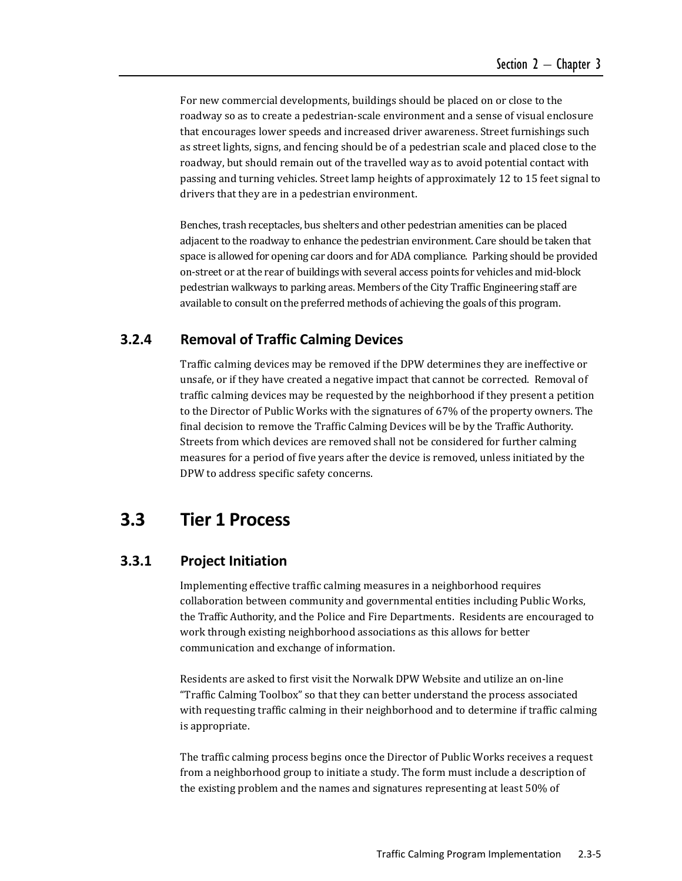For new commercial developments, buildings should be placed on or close to the roadway so as to create a pedestrian-scale environment and a sense of visual enclosure that encourages lower speeds and increased driver awareness. Street furnishings such as street lights, signs, and fencing should be of a pedestrian scale and placed close to the roadway, but should remain out of the travelled way as to avoid potential contact with passing and turning vehicles. Street lamp heights of approximately 12 to 15 feet signal to drivers that they are in a pedestrian environment.

Benches, trash receptacles, bus shelters and other pedestrian amenities can be placed adjacent to the roadway to enhance the pedestrian environment. Care should be taken that space is allowed for opening car doors and for ADA compliance. Parking should be provided on-street or at the rear of buildings with several access points for vehicles and mid-block pedestrian walkways to parking areas. Members of the City Traffic Engineering staff are available to consult on the preferred methods of achieving the goals of this program.

#### **3.2.4 Removal of Traffic Calming Devices**

Traffic calming devices may be removed if the DPW determines they are ineffective or unsafe, or if they have created a negative impact that cannot be corrected. Removal of traffic calming devices may be requested by the neighborhood if they present a petition to the Director of Public Works with the signatures of 67% of the property owners. The final decision to remove the Traffic Calming Devices will be by the Traffic Authority. Streets from which devices are removed shall not be considered for further calming measures for a period of five years after the device is removed, unless initiated by the DPW to address specific safety concerns.

## **3.3 Tier 1 Process**

#### **3.3.1 Project Initiation**

Implementing effective traffic calming measures in a neighborhood requires collaboration between community and governmental entities including Public Works, the Traffic Authority, and the Police and Fire Departments. Residents are encouraged to work through existing neighborhood associations as this allows for better communication and exchange of information.

Residents are asked to first visit the Norwalk DPW Website and utilize an on-line "Traffic Calming Toolbox" so that they can better understand the process associated with requesting traffic calming in their neighborhood and to determine if traffic calming is appropriate.

The traffic calming process begins once the Director of Public Works receives a request from a neighborhood group to initiate a study. The form must include a description of the existing problem and the names and signatures representing at least 50% of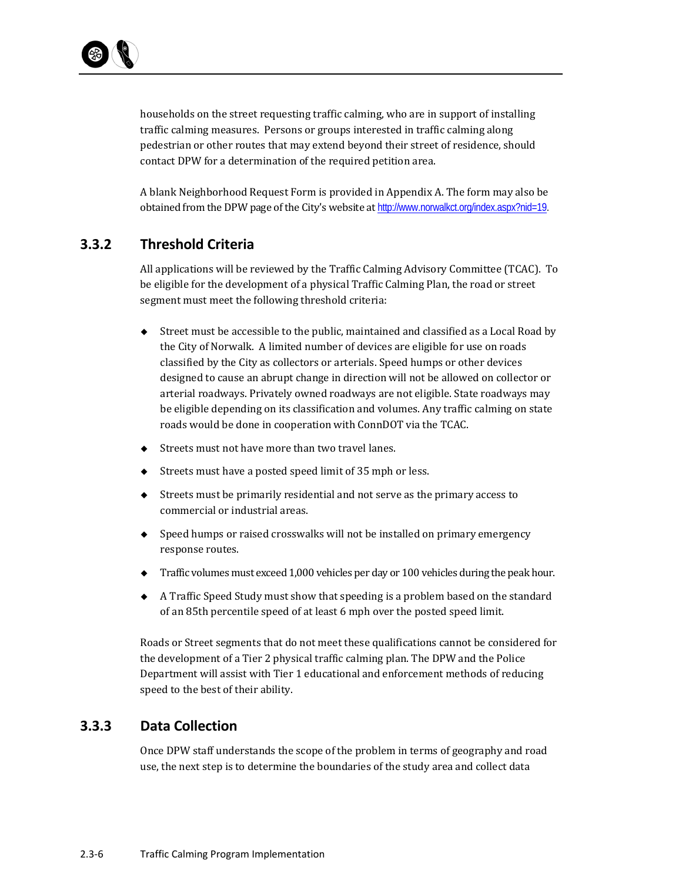

households on the street requesting traffic calming, who are in support of installing traffic calming measures. Persons or groups interested in traffic calming along pedestrian or other routes that may extend beyond their street of residence, should contact DPW for a determination of the required petition area.

A blank Neighborhood Request Form is provided in Appendix A. The form may also be obtained from the DPW page of the City's website at http://www.norwalkct.org/index.aspx?nid=19.

#### **3.3.2 Threshold Criteria**

All applications will be reviewed by the Traffic Calming Advisory Committee (TCAC). To be eligible for the development of a physical Traffic Calming Plan, the road or street segment must meet the following threshold criteria:

- $\blacklozenge$  Street must be accessible to the public, maintained and classified as a Local Road by the City of Norwalk. A limited number of devices are eligible for use on roads classified by the City as collectors or arterials. Speed humps or other devices designed to cause an abrupt change in direction will not be allowed on collector or arterial roadways. Privately owned roadways are not eligible. State roadways may be eligible depending on its classification and volumes. Any traffic calming on state roads would be done in cooperation with ConnDOT via the TCAC.
- $\triangle$  Streets must not have more than two travel lanes.
- $\blacklozenge$  Streets must have a posted speed limit of 35 mph or less.
- $\triangle$  Streets must be primarily residential and not serve as the primary access to commercial or industrial areas.
- $\bullet$  Speed humps or raised crosswalks will not be installed on primary emergency response routes.
- $\blacklozenge$  Traffic volumes must exceed 1,000 vehicles per day or 100 vehicles during the peak hour.
- $\blacklozenge$  A Traffic Speed Study must show that speeding is a problem based on the standard of an 85th percentile speed of at least 6 mph over the posted speed limit.

Roads or Street segments that do not meet these qualifications cannot be considered for the development of a Tier 2 physical traffic calming plan. The DPW and the Police Department will assist with Tier 1 educational and enforcement methods of reducing speed to the best of their ability.

#### **3.3.3 Data Collection**

Once DPW staff understands the scope of the problem in terms of geography and road use, the next step is to determine the boundaries of the study area and collect data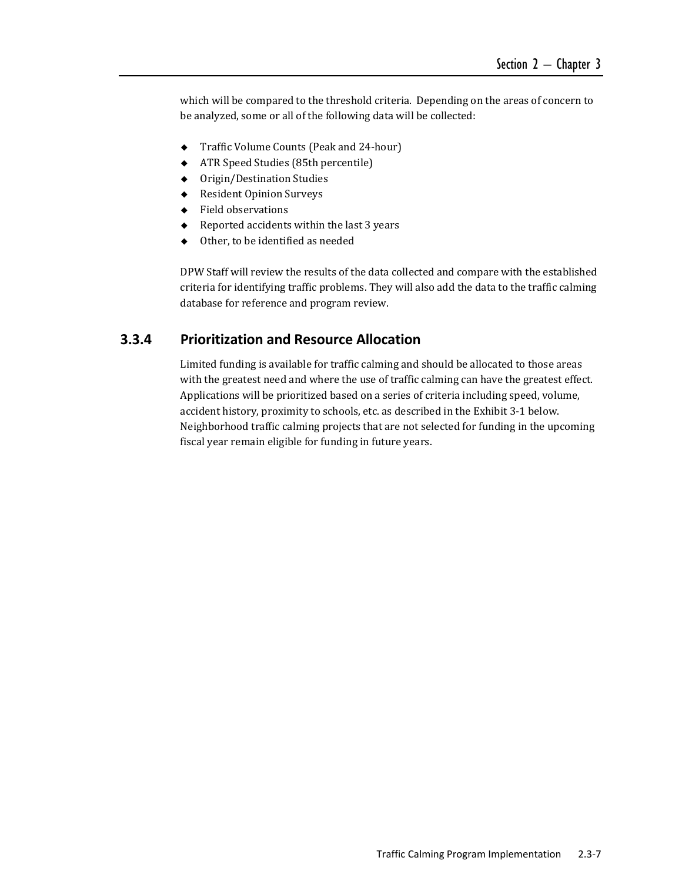which will be compared to the threshold criteria. Depending on the areas of concern to be analyzed, some or all of the following data will be collected:

- ◆ Traffic Volume Counts (Peak and 24-hour)
- ◆ ATR Speed Studies (85th percentile)
- ◆ Origin/Destination Studies
- ◆ Resident Opinion Surveys
- ◆ Field observations
- $\triangleleft$  Reported accidents within the last 3 years
- $\triangleleft$  Other, to be identified as needed

DPW Staff will review the results of the data collected and compare with the established criteria for identifying traffic problems. They will also add the data to the traffic calming database for reference and program review.

#### **3.3.4 Prioritization and Resource Allocation**

Limited funding is available for traffic calming and should be allocated to those areas with the greatest need and where the use of traffic calming can have the greatest effect. Applications will be prioritized based on a series of criteria including speed, volume, accident history, proximity to schools, etc. as described in the Exhibit 3-1 below. Neighborhood traffic calming projects that are not selected for funding in the upcoming fiscal year remain eligible for funding in future years.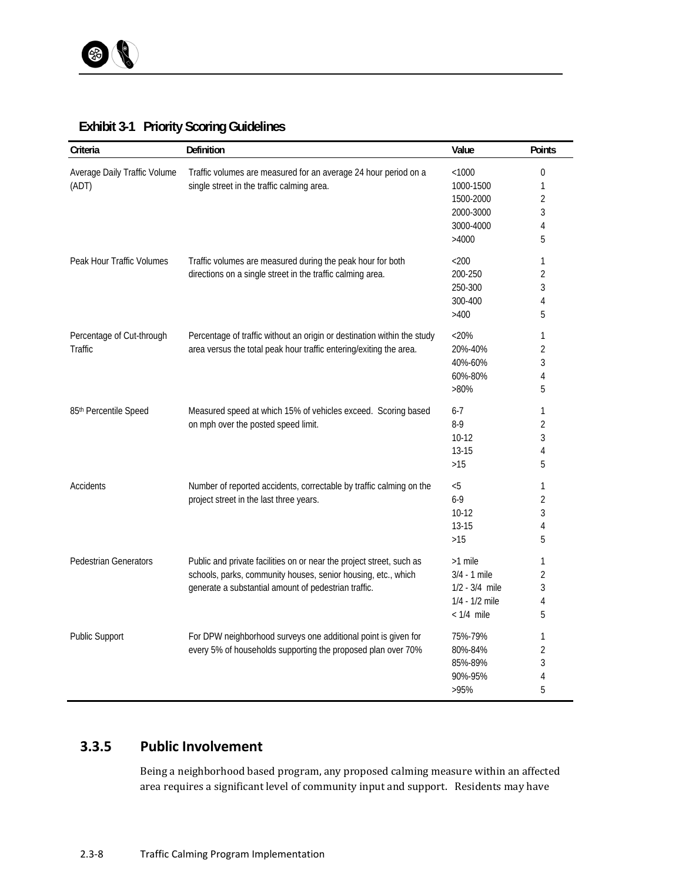| Criteria                              | Definition                                                                                                                                                                                    | Value            | Points           |
|---------------------------------------|-----------------------------------------------------------------------------------------------------------------------------------------------------------------------------------------------|------------------|------------------|
| Average Daily Traffic Volume<br>(ADT) | Traffic volumes are measured for an average 24 hour period on a<br>single street in the traffic calming area.                                                                                 | < 1000           | $\boldsymbol{0}$ |
|                                       |                                                                                                                                                                                               | 1000-1500        | 1                |
|                                       |                                                                                                                                                                                               | 1500-2000        | 2                |
|                                       |                                                                                                                                                                                               | 2000-3000        | 3                |
|                                       |                                                                                                                                                                                               | 3000-4000        | 4                |
|                                       |                                                                                                                                                                                               | >4000            | 5                |
| Peak Hour Traffic Volumes             | Traffic volumes are measured during the peak hour for both<br>directions on a single street in the traffic calming area.                                                                      | $<$ 200          | 1                |
|                                       |                                                                                                                                                                                               | 200-250          | 2                |
|                                       |                                                                                                                                                                                               | 250-300          | 3                |
|                                       |                                                                                                                                                                                               | 300-400          | 4                |
|                                       |                                                                                                                                                                                               | >400             | 5                |
| Percentage of Cut-through<br>Traffic  | Percentage of traffic without an origin or destination within the study<br>area versus the total peak hour traffic entering/exiting the area.                                                 | $<$ 20%          | 1                |
|                                       |                                                                                                                                                                                               | 20%-40%          | 2                |
|                                       |                                                                                                                                                                                               | 40%-60%          | 3                |
|                                       |                                                                                                                                                                                               | 60%-80%          | 4                |
|                                       |                                                                                                                                                                                               | $>80\%$          | 5                |
| 85th Percentile Speed                 | Measured speed at which 15% of vehicles exceed. Scoring based<br>on mph over the posted speed limit.                                                                                          | $6 - 7$          | 1                |
|                                       |                                                                                                                                                                                               | $8 - 9$          | 2                |
|                                       |                                                                                                                                                                                               | $10-12$          | 3                |
|                                       |                                                                                                                                                                                               | $13 - 15$        | 4                |
|                                       |                                                                                                                                                                                               | >15              | 5                |
| Accidents                             | Number of reported accidents, correctable by traffic calming on the<br>project street in the last three years.                                                                                | $< 5$            | 1                |
|                                       |                                                                                                                                                                                               | $6 - 9$          | 2                |
|                                       |                                                                                                                                                                                               | $10-12$          | 3                |
|                                       |                                                                                                                                                                                               | $13 - 15$        | 4                |
|                                       |                                                                                                                                                                                               | $>15$            | 5                |
| <b>Pedestrian Generators</b>          | Public and private facilities on or near the project street, such as<br>schools, parks, community houses, senior housing, etc., which<br>generate a substantial amount of pedestrian traffic. | >1 mile          | 1                |
|                                       |                                                                                                                                                                                               | $3/4 - 1$ mile   | 2                |
|                                       |                                                                                                                                                                                               | $1/2 - 3/4$ mile | 3                |
|                                       |                                                                                                                                                                                               | 1/4 - 1/2 mile   | 4                |
|                                       |                                                                                                                                                                                               | $< 1/4$ mile     | 5                |
| <b>Public Support</b>                 | For DPW neighborhood surveys one additional point is given for<br>every 5% of households supporting the proposed plan over 70%                                                                | 75%-79%          | 1                |
|                                       |                                                                                                                                                                                               | 80%-84%          | 2                |
|                                       |                                                                                                                                                                                               | 85%-89%          | 3                |
|                                       |                                                                                                                                                                                               | 90%-95%          | 4                |
|                                       |                                                                                                                                                                                               | >95%             | 5                |

#### **Exhibit 3-1 Priority Scoring Guidelines**

# **3.3.5 Public Involvement**

Being a neighborhood based program, any proposed calming measure within an affected area requires a significant level of community input and support. Residents may have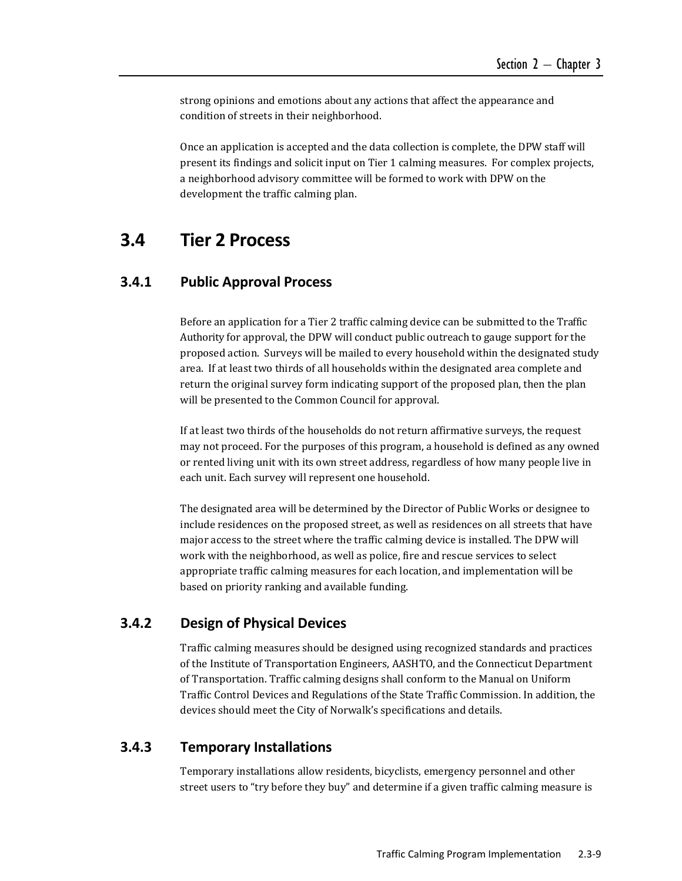strong opinions and emotions about any actions that affect the appearance and condition of streets in their neighborhood.

Once an application is accepted and the data collection is complete, the DPW staff will present its findings and solicit input on Tier 1 calming measures. For complex projects, a neighborhood advisory committee will be formed to work with DPW on the development the traffic calming plan.

# **3.4 Tier 2 Process**

#### **3.4.1 Public Approval Process**

Before an application for a Tier 2 traffic calming device can be submitted to the Traffic Authority for approval, the DPW will conduct public outreach to gauge support for the proposed action. Surveys will be mailed to every household within the designated study area. If at least two thirds of all households within the designated area complete and return the original survey form indicating support of the proposed plan, then the plan will be presented to the Common Council for approval.

If at least two thirds of the households do not return affirmative surveys, the request may not proceed. For the purposes of this program, a household is defined as any owned or rented living unit with its own street address, regardless of how many people live in each unit. Each survey will represent one household.

The designated area will be determined by the Director of Public Works or designee to include residences on the proposed street, as well as residences on all streets that have major access to the street where the traffic calming device is installed. The DPW will work with the neighborhood, as well as police, fire and rescue services to select appropriate traffic calming measures for each location, and implementation will be based on priority ranking and available funding.

#### **3.4.2 Design of Physical Devices**

Traffic calming measures should be designed using recognized standards and practices of the Institute of Transportation Engineers, AASHTO, and the Connecticut Department of Transportation. Traffic calming designs shall conform to the Manual on Uniform Traffic Control Devices and Regulations of the State Traffic Commission. In addition, the devices should meet the City of Norwalk's specifications and details.

#### **3.4.3 Temporary Installations**

Temporary installations allow residents, bicyclists, emergency personnel and other street users to "try before they buy" and determine if a given traffic calming measure is